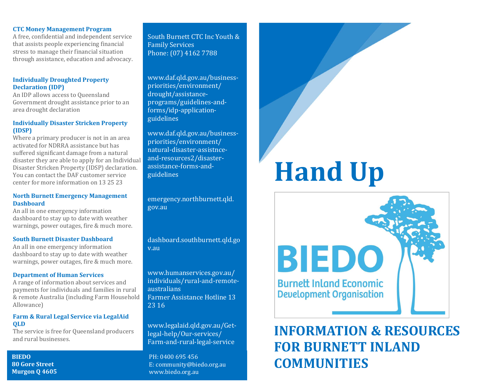#### CTC Money Management Program

A free, confidential and independent service that assists people experiencing financial stress to manage their financial situation through assistance, education and advocacy.

# Individually Droughted Property Declaration (IDP)

An IDP allows access to Queensland Government drought assistance prior to an area drought declaration

# Individually Disaster Stricken Property (IDSP)

Where a primary producer is not in an area activated for NDRRA assistance but has suffered significant damage from a natural disaster they are able to apply for an Individual Disaster Stricken Property (IDSP) declaration. You can contact the DAF customer service center for more information on 13 25 23

#### North Burnett Emergency Management **Dashboard**

An all in one emergency information dashboard to stay up to date with weather warnings, power outages, fire & much more.

#### South Burnett Disaster Dashboard

An all in one emergency information dashboard to stay up to date with weather warnings, power outages, fire & much more.

# Department of Human Services

A range of information about services and payments for individuals and families in rural & remote Australia (including Farm Household Allowance)

# Farm & Rural Legal Service via LegalAid QLD

The service is free for Queensland producers and rural businesses.

# 80 Gore Street Murgon Q 4605

South Burnett CTC Inc Youth & Family Services Phone: (07) 4162 7788

www.daf.qld.gov.au/businesspriorities/environment/ drought/assistanceprograms/guidelines-andforms/idp-applicationguidelines

www.daf.qld.gov.au/businesspriorities/environment/ natural-disaster-assistnceand-resources2/disasterassistance-forms-andguidelines

emergency.northburnett.qld. gov.au

dashboard.southburnett.qld.go v.au

www.humanservices.gov.au/ individuals/rural-and-remoteaustralians Farmer Assistance Hotline 13 23 16

www.legalaid.qld.gov.au/Getlegal-help/Our-services/ Farm-and-rural-legal-service

PH: 0400 695 456 E: community@biedo.org.au www.biedo.org.au

# Hand Up



# INFORMATION & RESOURCES FOR BURNETT INLAND COMMUNITIES BIEDO